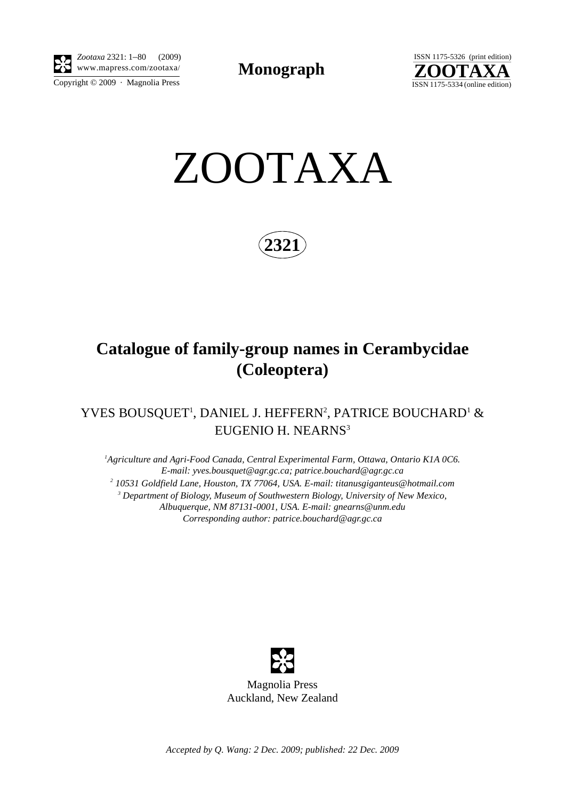

*Zootaxa* 2321: 1–80 (2009)

Copyright © 2009 · Magnolia Press

**Monograph** 



ZOOTAXA

**2321**

# **Catalogue of family-group names in Cerambycidae (Coleoptera)**

## YVES BOUSQUET<sup>1</sup>, DANIEL J. HEFFERN<sup>2</sup>, PATRICE BOUCHARD<sup>1</sup> & EUGENIO H. NEARNS<sup>3</sup>

<sup>1</sup> Agriculture and Agri-Food Canada, Central Experimental Farm, Ottawa, Ontario K1A 0C6. *E-mail: yves.bousquet@agr.gc.ca; patrice.bouchard@agr.gc.ca 2 10531 Goldfield Lane, Houston, TX 77064, USA. E-mail: titanusgiganteus@hotmail.com 3 Department of Biology, Museum of Southwestern Biology, University of New Mexico, Albuquerque, NM 87131-0001, USA. E-mail: gnearns@unm.edu Corresponding author: patrice.bouchard@agr.gc.ca*



*Accepted by Q. Wang: 2 Dec. 2009; published: 22 Dec. 2009*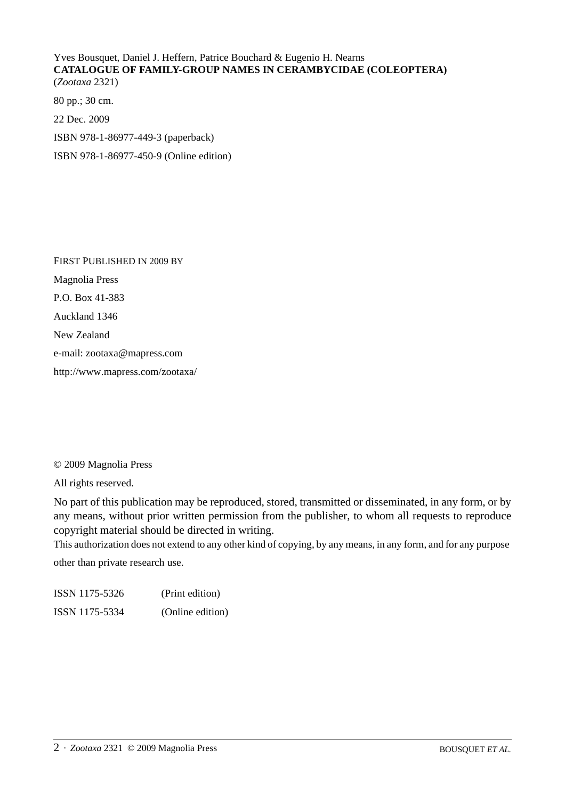Yves Bousquet, Daniel J. Heffern, Patrice Bouchard & Eugenio H. Nearns **CATALOGUE OF FAMILY-GROUP NAMES IN CERAMBYCIDAE (COLEOPTERA)** (*Zootaxa* 2321)

80 pp.; 30 cm.

22 Dec. 2009

ISBN 978-1-86977-449-3 (paperback)

ISBN 978-1-86977-450-9 (Online edition)

FIRST PUBLISHED IN 2009 BY Magnolia Press P.O. Box 41-383 Auckland 1346 New Zealand e-mail: zootaxa@mapress.com http://www.mapress.com/zootaxa/

#### © 2009 Magnolia Press

All rights reserved.

No part of this publication may be reproduced, stored, transmitted or disseminated, in any form, or by any means, without prior written permission from the publisher, to whom all requests to reproduce copyright material should be directed in writing.

This authorization does not extend to any other kind of copying, by any means, in any form, and for any purpose

other than private research use.

| ISSN 1175-5326 | (Print edition)  |
|----------------|------------------|
| ISSN 1175-5334 | (Online edition) |